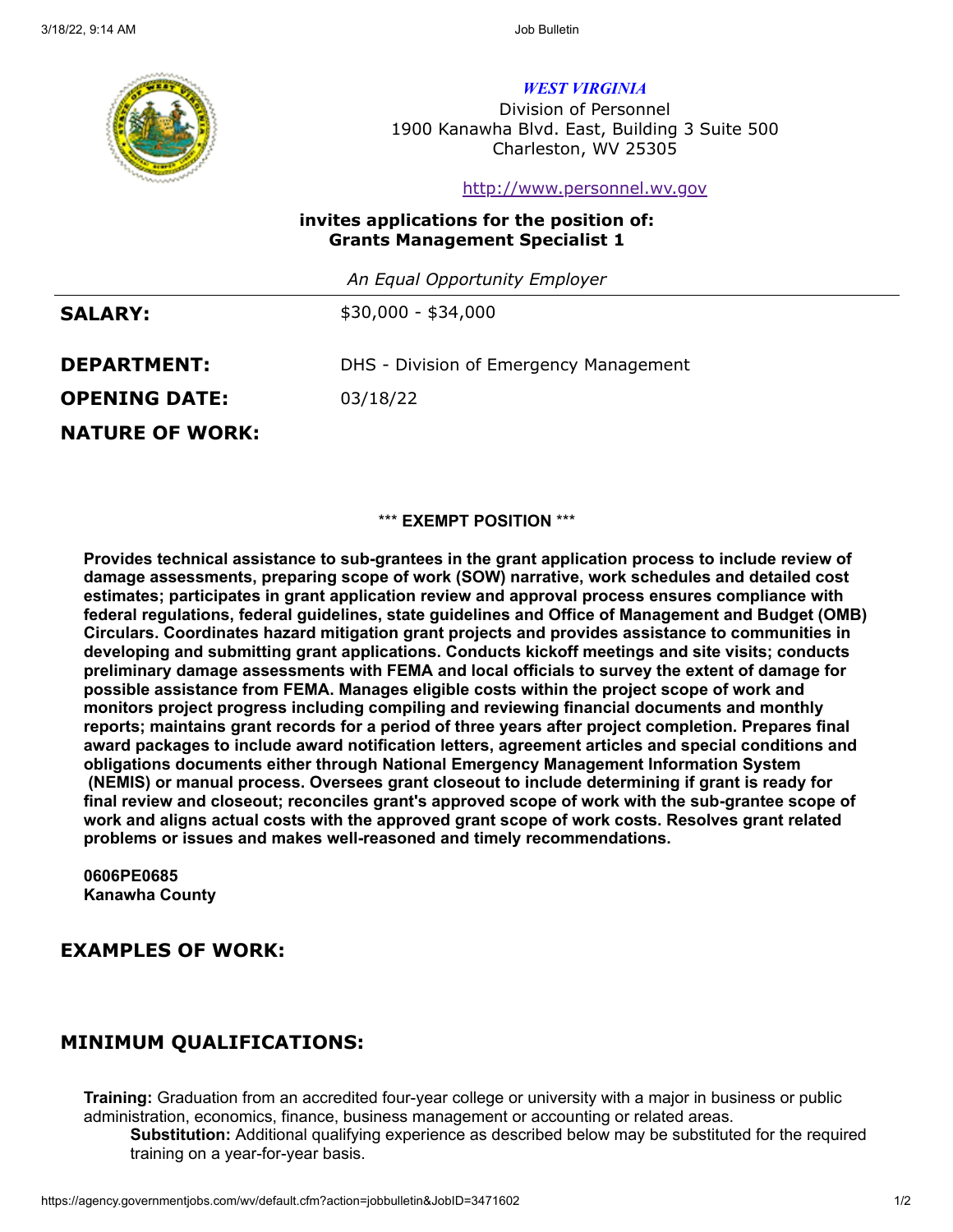

*WEST VIRGINIA*

Division of Personnel 1900 Kanawha Blvd. East, Building 3 Suite 500 Charleston, WV 25305

[http://www.personnel.wv.gov](http://www.personnel.wv.gov/)

### **invites applications for the position of: Grants Management Specialist 1**

*An Equal Opportunity Employer*

**SALARY:**

\$30,000 - \$34,000

**DEPARTMENT:**

DHS - Division of Emergency Management

03/18/22 **OPENING DATE:** 

**NATURE OF WORK:**

### \*\*\* **EXEMPT POSITION** \*\*\*

**Provides technical assistance to sub-grantees in the grant application process to include review of damage assessments, preparing scope of work (SOW) narrative, work schedules and detailed cost estimates; participates in grant application review and approval process ensures compliance with federal regulations, federal guidelines, state guidelines and Office of Management and Budget (OMB) Circulars. Coordinates hazard mitigation grant projects and provides assistance to communities in developing and submitting grant applications. Conducts kickoff meetings and site visits; conducts preliminary damage assessments with FEMA and local officials to survey the extent of damage for possible assistance from FEMA. Manages eligible costs within the project scope of work and monitors project progress including compiling and reviewing financial documents and monthly reports; maintains grant records for a period of three years after project completion. Prepares final award packages to include award notification letters, agreement articles and special conditions and obligations documents either through National Emergency Management Information System (NEMIS) or manual process. Oversees grant closeout to include determining if grant is ready for final review and closeout; reconciles grant's approved scope of work with the sub-grantee scope of work and aligns actual costs with the approved grant scope of work costs. Resolves grant related problems or issues and makes well-reasoned and timely recommendations.**

**0606PE0685 Kanawha County**

## **EXAMPLES OF WORK:**

# **MINIMUM QUALIFICATIONS:**

**Training:** Graduation from an accredited four-year college or university with a major in business or public administration, economics, finance, business management or accounting or related areas.

**Substitution:** Additional qualifying experience as described below may be substituted for the required training on a year-for-year basis.